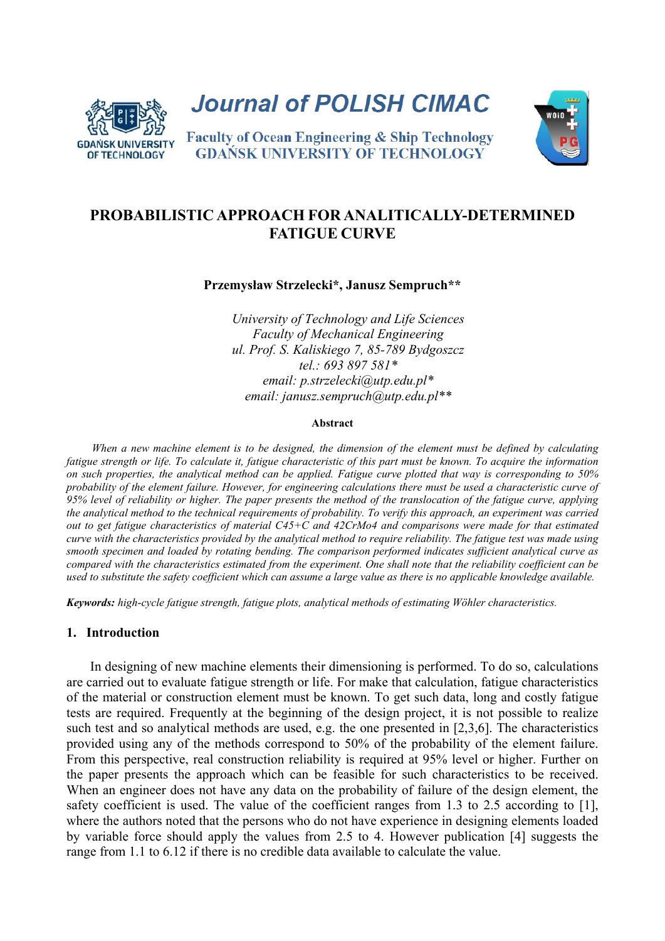

**Journal of POLISH CIMAC** 



**Faculty of Ocean Engineering & Ship Technology GDANSK UNIVERSITY OF TECHNOLOGY** 

# **PROBABILISTIC APPROACH FOR ANALITICALLY-DETERMINED FATIGUE CURVE**

**Przemysław Strzelecki\*, Janusz Sempruch\*\*** 

*University of Technology and Life Sciences Faculty of Mechanical Engineering ul. Prof. S. Kaliskiego 7, 85-789 Bydgoszcz tel.: 693 897 581\* email: p.strzelecki@utp.edu.pl\* email: janusz.sempruch@utp.edu.pl\*\** 

#### **Abstract**

*When a new machine element is to be designed, the dimension of the element must be defined by calculating fatigue strength or life. To calculate it, fatigue characteristic of this part must be known. To acquire the information on such properties, the analytical method can be applied. Fatigue curve plotted that way is corresponding to 50% probability of the element failure. However, for engineering calculations there must be used a characteristic curve of 95% level of reliability or higher. The paper presents the method of the translocation of the fatigue curve, applying the analytical method to the technical requirements of probability. To verify this approach, an experiment was carried out to get fatigue characteristics of material C45+C and 42CrMo4 and comparisons were made for that estimated curve with the characteristics provided by the analytical method to require reliability. The fatigue test was made using smooth specimen and loaded by rotating bending. The comparison performed indicates sufficient analytical curve as compared with the characteristics estimated from the experiment. One shall note that the reliability coefficient can be used to substitute the safety coefficient which can assume a large value as there is no applicable knowledge available.* 

*Keywords: high*-*cycle fatigue strength, fatigue plots, analytical methods of estimating Wöhler characteristics.* 

# **1. Introduction**

In designing of new machine elements their dimensioning is performed. To do so, calculations are carried out to evaluate fatigue strength or life. For make that calculation, fatigue characteristics of the material or construction element must be known. To get such data, long and costly fatigue tests are required. Frequently at the beginning of the design project, it is not possible to realize such test and so analytical methods are used, e.g. the one presented in [2,3,6]. The characteristics provided using any of the methods correspond to 50% of the probability of the element failure. From this perspective, real construction reliability is required at 95% level or higher. Further on the paper presents the approach which can be feasible for such characteristics to be received. When an engineer does not have any data on the probability of failure of the design element, the safety coefficient is used. The value of the coefficient ranges from 1.3 to 2.5 according to [1], where the authors noted that the persons who do not have experience in designing elements loaded by variable force should apply the values from 2.5 to 4. However publication [4] suggests the range from 1.1 to 6.12 if there is no credible data available to calculate the value.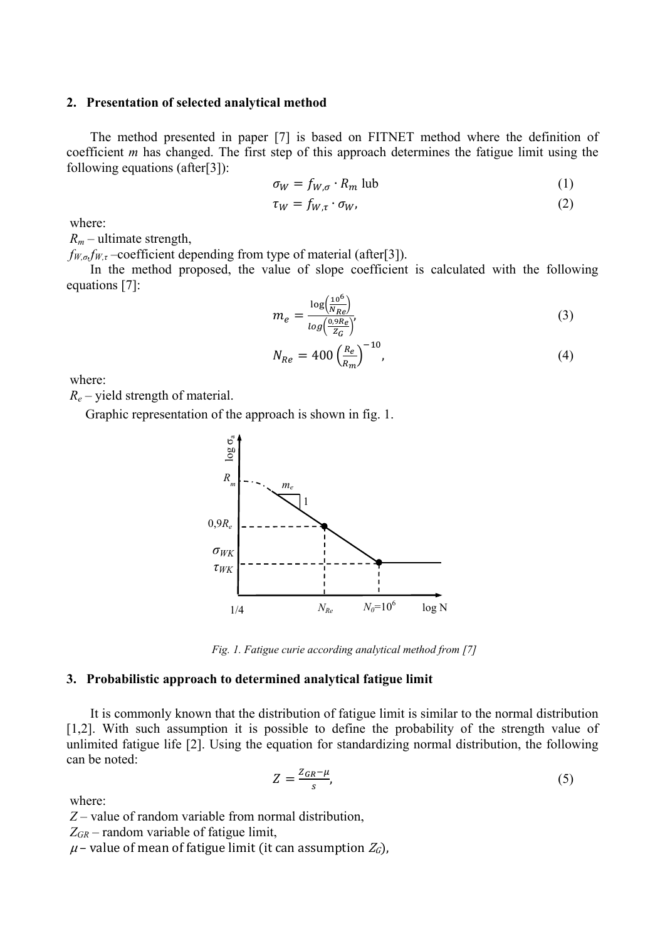### **2. Presentation of selected analytical method**

The method presented in paper [7] is based on FITNET method where the definition of coefficient *m* has changed. The first step of this approach determines the fatigue limit using the following equations (after[3]):

$$
\sigma_W = f_{W,\sigma} \cdot R_m \text{ lub} \tag{1}
$$

$$
\tau_W = f_{W,\tau} \cdot \sigma_W,\tag{2}
$$

where:

 $R_m$  – ultimate strength,

*fW,σ,fW,τ –*coefficient depending from type of material (after[3]).

In the method proposed, the value of slope coefficient is calculated with the following equations [7]:

$$
m_e = \frac{\log(\frac{10^6}{N_{Re}})}{\log(\frac{0.9R_e}{Z_G})'}\tag{3}
$$

$$
N_{Re} = 400 \left(\frac{R_e}{R_m}\right)^{-10},\tag{4}
$$

where:

*Re* – yield strength of material.

Graphic representation of the approach is shown in fig. 1.



*Fig. 1. Fatigue curie according analytical method from [7]* 

#### **3. Probabilistic approach to determined analytical fatigue limit**

It is commonly known that the distribution of fatigue limit is similar to the normal distribution [1,2]. With such assumption it is possible to define the probability of the strength value of unlimited fatigue life [2]. Using the equation for standardizing normal distribution, the following can be noted:

$$
Z = \frac{Z_{GR} - \mu}{s},\tag{5}
$$

where:

*Z –* value of random variable from normal distribution,

 $Z_{GR}$  – random variable of fatigue limit,<br> $\mu$  – value of mean of fatigue limit (it can assumption  $Z_G$ ),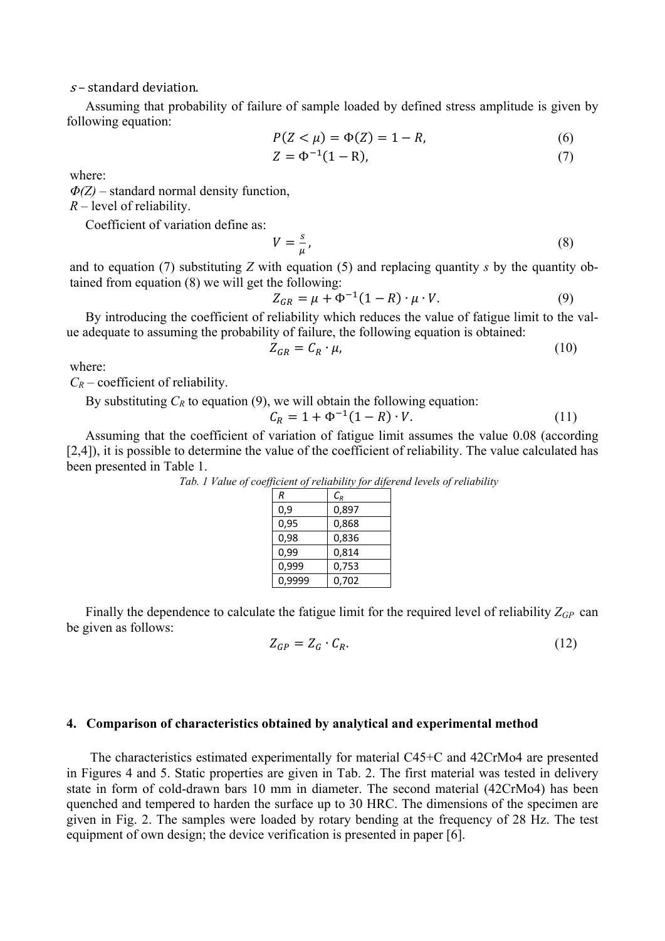$s$ – standard deviation.

Assuming that probability of failure of sample loaded by defined stress amplitude is given by following equation:

$$
P(Z < \mu) = \Phi(Z) = 1 - R,\tag{6}
$$

$$
Z = \Phi^{-1}(1 - R),\tag{7}
$$

where:

*Φ(Z) –* standard normal density function,

*R* – level of reliability.

Coefficient of variation define as:

 $V = \frac{s}{\mu}$ ,  $(8)$ 

and to equation (7) substituting *Z* with equation (5) and replacing quantity *s* by the quantity obtained from equation (8) we will get the following:

$$
Z_{GR} = \mu + \Phi^{-1}(1 - R) \cdot \mu \cdot V. \tag{9}
$$

By introducing the coefficient of reliability which reduces the value of fatigue limit to the value adequate to assuming the probability of failure, the following equation is obtained:

$$
Z_{GR} = C_R \cdot \mu,\tag{10}
$$

where:

 $C_R$  – coefficient of reliability.

By substituting  $C_R$  to equation (9), we will obtain the following equation:

$$
C_R = 1 + \Phi^{-1}(1 - R) \cdot V. \tag{11}
$$

Assuming that the coefficient of variation of fatigue limit assumes the value 0.08 (according [2,4]), it is possible to determine the value of the coefficient of reliability. The value calculated has been presented in Table 1.

| R      | $\mathcal{C}_{\scriptscriptstyle R}$ |
|--------|--------------------------------------|
| 0,9    | 0,897                                |
| 0,95   | 0,868                                |
| 0,98   | 0,836                                |
| 0,99   | 0,814                                |
| 0,999  | 0,753                                |
| 0.9999 | 0.702                                |

*Tab. 1 Value of coefficient of reliability for diferend levels of reliability* 

Finally the dependence to calculate the fatigue limit for the required level of reliability *ZGP* can be given as follows:

$$
Z_{GP} = Z_G \cdot C_R. \tag{12}
$$

#### **4. Comparison of characteristics obtained by analytical and experimental method**

The characteristics estimated experimentally for material C45+C and 42CrMo4 are presented in Figures 4 and 5. Static properties are given in Tab. 2. The first material was tested in delivery state in form of cold-drawn bars 10 mm in diameter. The second material (42CrMo4) has been quenched and tempered to harden the surface up to 30 HRC. The dimensions of the specimen are given in Fig. 2. The samples were loaded by rotary bending at the frequency of 28 Hz. The test equipment of own design; the device verification is presented in paper [6].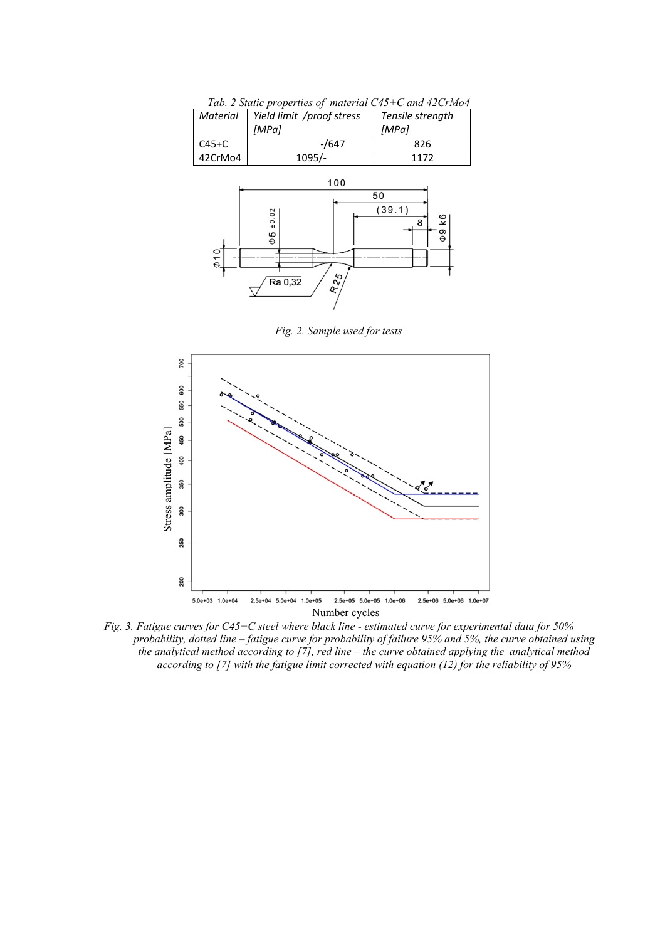| $C45+C$   | $-$ /647                                           | 826                                      |  |
|-----------|----------------------------------------------------|------------------------------------------|--|
| 42CrMo4   | 1095/-                                             | 1172                                     |  |
| $\phi$ 10 | 100<br>±0.02<br>$\Phi \Phi$<br>$R_{25}$<br>Ra 0,32 | 50<br>(39.1)<br>k6<br>8<br>$\frac{9}{6}$ |  |

*Tab. 2 Static properties of material C45+C and 42CrMo4 Material Yield limit /proof stress Tensile strength*

*[MPa]*

*[MPa]*

*Fig. 2. Sample used for tests* 



*Fig. 3. Fatigue curves for C45+C steel where black line - estimated curve for experimental data for 50% probability, dotted line – fatigue curve for probability of failure 95% and 5%, the curve obtained using the analytical method according to [7], red line – the curve obtained applying the analytical method according to [7] with the fatigue limit corrected with equation (12) for the reliability of 95%*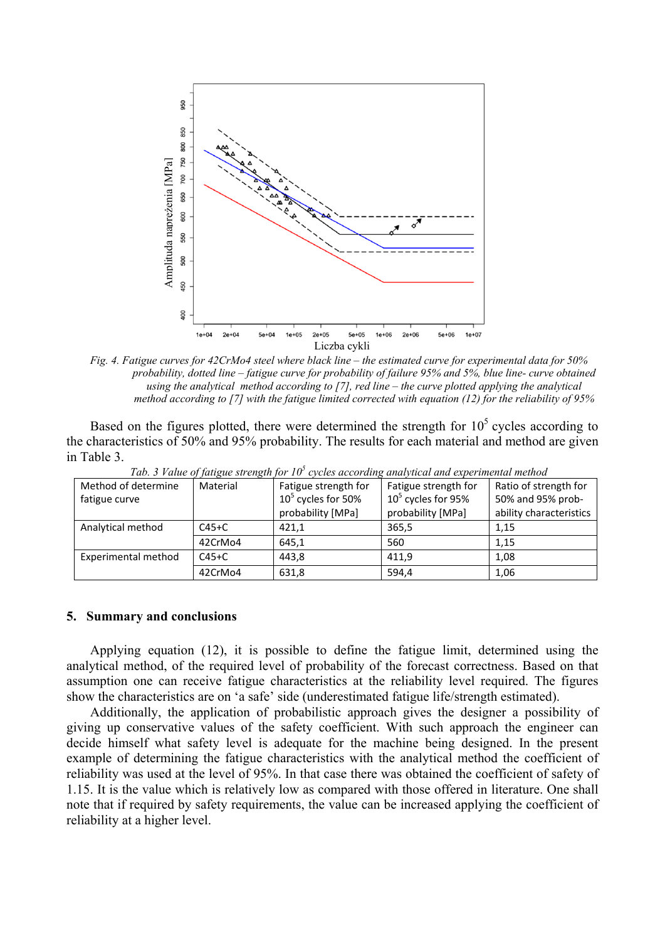

*Fig. 4. Fatigue curves for 42CrMo4 steel where black line – the estimated curve for experimental data for 50% probability, dotted line – fatigue curve for probability of failure 95% and 5%, blue line- curve obtained using the analytical method according to [7], red line – the curve plotted applying the analytical method according to [7] with the fatigue limited corrected with equation (12) for the reliability of 95%* 

Based on the figures plotted, there were determined the strength for  $10<sup>5</sup>$  cycles according to the characteristics of 50% and 95% probability. The results for each material and method are given in Table 3.

|                     |          | Two. 3 T anno 67 fam, ac sin chi, an for 10 Tepenes according anna finear announcement intention |                      |                         |
|---------------------|----------|--------------------------------------------------------------------------------------------------|----------------------|-------------------------|
| Method of determine | Material | Fatigue strength for                                                                             | Fatigue strength for | Ratio of strength for   |
| fatigue curve       |          | $105$ cycles for 50%                                                                             | $105$ cycles for 95% | 50% and 95% prob-       |
|                     |          | probability [MPa]                                                                                | probability [MPa]    | ability characteristics |
| Analytical method   | $C45+C$  | 421.1                                                                                            | 365,5                | 1.15                    |
|                     | 42CrMo4  | 645,1                                                                                            | 560                  | 1.15                    |
| Experimental method | $C45+C$  | 443.8                                                                                            | 411.9                | 1.08                    |
|                     | 42CrMo4  | 631,8                                                                                            | 594,4                | 1,06                    |

Tab. 3 Value of fatigue strength for 10<sup>5</sup> cycles according analytical and experimental method

### **5. Summary and conclusions**

Applying equation (12), it is possible to define the fatigue limit, determined using the analytical method, of the required level of probability of the forecast correctness. Based on that assumption one can receive fatigue characteristics at the reliability level required. The figures show the characteristics are on 'a safe' side (underestimated fatigue life/strength estimated).

Additionally, the application of probabilistic approach gives the designer a possibility of giving up conservative values of the safety coefficient. With such approach the engineer can decide himself what safety level is adequate for the machine being designed. In the present example of determining the fatigue characteristics with the analytical method the coefficient of reliability was used at the level of 95%. In that case there was obtained the coefficient of safety of 1.15. It is the value which is relatively low as compared with those offered in literature. One shall note that if required by safety requirements, the value can be increased applying the coefficient of reliability at a higher level.